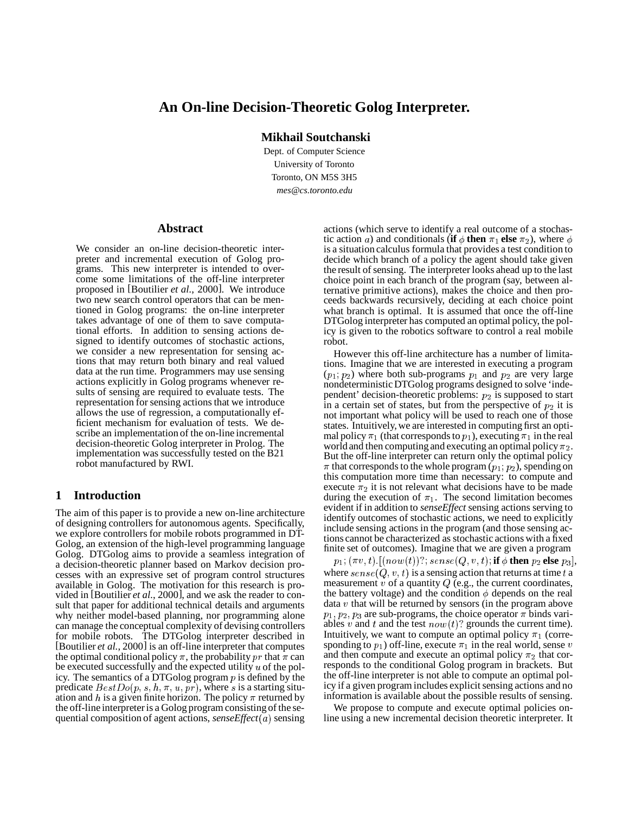# **An On-line Decision-Theoretic Golog Interpreter.**

**Mikhail Soutchanski**

Dept. of Computer Science University of Toronto Toronto, ON M5S 3H5 *mes@cs.toronto.edu*

#### **Abstract**

We consider an on-line decision-theoretic interpreter and incremental execution of Golog programs. This new interpreter is intended to overcome some limitations of the off-line interpreter proposed in [Boutilier *et al.*, 2000]. We introduce two new search control operators that can be mentioned in Golog programs: the on-line interpreter takes advantage of one of them to save computational efforts. In addition to sensing actions designed to identify outcomes of stochastic actions, we consider a new representation for sensing actions that may return both binary and real valued data at the run time. Programmers may use sensing actions explicitly in Golog programs whenever results of sensing are required to evaluate tests. The representation for sensing actions that we introduce allows the use of regression, a computationally efficient mechanism for evaluation of tests. We describe an implementation of the on-line incremental decision-theoretic Golog interpreter in Prolog. The implementation was successfully tested on the B21 robot manufactured by RWI.

### **1 Introduction**

The aim of this paper is to provide a new on-line architecture of designing controllers for autonomous agents. Specifically, we explore controllers for mobile robots programmed in DT-Golog, an extension of the high-level programming language Golog. DTGolog aims to provide a seamless integration of a decision-theoretic planner based on Markov decision processes with an expressive set of program control structures available in Golog. The motivation for this research is provided in [Boutilier *et al.*, 2000], and we ask the reader to consult that paper for additional technical details and arguments why neither model-based planning, nor programming alone can manage the conceptual complexity of devising controllers for mobile robots. The DTGolog interpreter described in [Boutilier *et al.*, 2000] is an off-line interpreter that computes the optimal conditional policy  $\pi$ , the probability  $pr$  that  $\pi$  can and be executed successfully and the expected utility  $u$  of the policy. The semantics of a DTGolog program  $p$  is defined by the predicate  $BestDo(p, s, h, \pi, u, pr)$ , where s is a starting situation and  $h$  is a given finite horizon. The policy  $\pi$  returned by the off-line interpreteris a Golog program consistingof the sequential composition of agent actions, *senseEffect*( $a$ ) sensing

actions (which serve to identify a real outcome of a stochastic action a) and conditionals (**if**  $\phi$  **then**  $\pi_1$  **else**  $\pi_2$ ), where  $\phi$ is a situation calculus formula that provides a test condition to decide which branch of a policy the agent should take given the result of sensing. The interpreter looks ahead up to the last choice point in each branch of the program (say, between alternative primitive actions), makes the choice and then proceeds backwards recursively, deciding at each choice point what branch is optimal. It is assumed that once the off-line DTGolog interpreter has computed an optimal policy, the policy is given to the robotics software to control a real mobile robot.

However this off-line architecture has a number of limitations. Imagine that we are interested in executing a program  $(p_1; p_2)$  where both sub-programs  $p_1$  and  $p_2$  are very large nondeterministic DTGolog programs designed to solve 'independent' decision-theoretic problems:  $p_2$  is supposed to start in a certain set of states, but from the perspective of  $p_2$  it is not important what policy will be used to reach one of those states. Intuitively, we are interested in computing first an optimal policy  $\pi_1$  (that corresponds to  $p_1$ ), executing  $\pi_1$  in the real world and then computing and executing an optimal policy  $\pi_2$ . But the off-line interpreter can return only the optimal policy  $\pi$  that corresponds to the whole program ( $p_1$ ,  $p_2$ ), spending on this computation more time than necessary: to compute and execute  $\pi_2$  it is not relevant what decisions have to be made during the execution of  $\pi_1$ . The second limitation becomes evident if in addition to *senseEffect* sensing actions serving to identify outcomes of stochastic actions, we need to explicitly include sensing actions in the program (and those sensing actions cannot be characterized as stochastic actions with a fixed finite set of outcomes). Imagine that we are given a program

 $p_1; (\pi v, t)$  .  $[ (now(t)) ?; sense(Q, v, t);$  if  $\phi$  then  $p_2$  else  $p_3],$ where  $\mathit{sense}(Q, v, t)$  is a sensing action that returns at time  $t$  a measurement  $v$  of a quantity  $Q$  (e.g., the current coordinates, the battery voltage) and the condition  $\phi$  depends on the real data  $v$  that will be returned by sensors (in the program above  $p_1, p_2, p_3$  are sub-programs, the choice operator  $\pi$  binds variables v and t and the test  $now(t)$ ? grounds the current time). Intuitively, we want to compute an optimal policy  $\pi_1$  (corresponding to  $p_1$ ) off-line, execute  $\pi_1$  in the real world, sense v and then compute and execute an optimal policy  $\pi_2$  that corresponds to the conditional Golog program in brackets. But the off-line interpreter is not able to compute an optimal policy if a given program includes explicit sensing actions and no information is available about the possible results of sensing.

We propose to compute and execute optimal policies online using a new incremental decision theoretic interpreter. It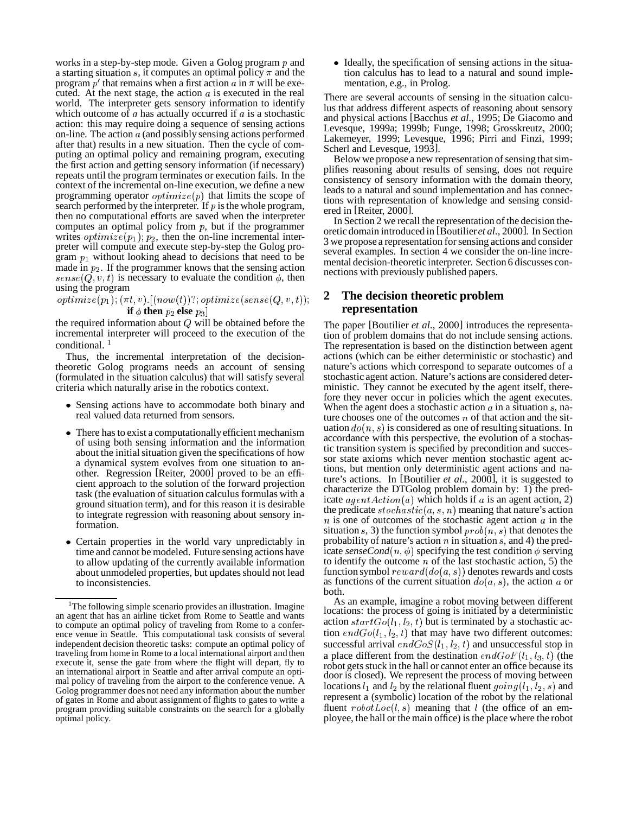works in a step-by-step mode. Given a Golog program  $p$  and a starting situation  $s$ , it computes an optimal policy  $\pi$  and the program  $p'$  that remains when a first action  $a$  in  $\pi$  will be executed. At the next stage, the action  $\alpha$  is executed in the real world. The interpreter gets sensory information to identify which outcome of  $\alpha$  has actually occurred if  $\alpha$  is a stochastic action: this may require doing a sequence of sensing actions on-line. The action  $a$  (and possibly sensing actions performed after that) results in a new situation. Then the cycle of computing an optimal policy and remaining program, executing the first action and getting sensory information (if necessary) repeats until the program terminates or execution fails. In the context of the incremental on-line execution, we define a new programming operator  $\text{optimize}(p)$  that limits the scope of search performed by the interpreter. If  $p$  is the whole program, then no computational efforts are saved when the interpreter computes an optimal policy from  $p$ , but if the programmer writes *optimize*( $p_1$ ),  $p_2$ , then the on-line incremental interpreter will compute and execute step-by-step the Golog program  $p_1$  without looking ahead to decisions that need to be made in  $p_2$ . If the programmer knows that the sensing action  $sense(Q, v, t)$  is necessary to evaluate the condition  $\phi$ , then using the program

### $\textit{optimize}(p_1), (\pi t, v) \, [( \textit{now}(t)) ?; \textit{optimize}(sense(Q, v, t)) ; \quad \blacktriangleleft$ **if**  $\phi$  then  $p_2$  else  $p_3]$

the required information about  $Q$  will be obtained before the incremental interpreter will proceed to the execution of the conditional.<sup>1</sup>

Thus, the incremental interpretation of the decisiontheoretic Golog programs needs an account of sensing (formulated in the situation calculus) that will satisfy several criteria which naturally arise in the robotics context.

- Sensing actions have to accommodate both binary and real valued data returned from sensors.
- There has to exist a computationallyefficient mechanism of using both sensing information and the information about the initial situation given the specifications of how a dynamical system evolves from one situation to another. Regression [Reiter, 2000] proved to be an efficient approach to the solution of the forward projection task (the evaluation of situation calculus formulas with a ground situation term), and for this reason it is desirable to integrate regression with reasoning about sensory information.
- Certain properties in the world vary unpredictably in time and cannot be modeled. Future sensing actions have to allow updating of the currently available information about unmodeled properties, but updates should not lead to inconsistencies.

• Ideally, the specification of sensing actions in the situation calculus has to lead to a natural and sound implementation, e.g., in Prolog.

There are several accounts of sensing in the situation calculus that address different aspects of reasoning about sensory and physical actions [Bacchus *et al.*, 1995; De Giacomo and Levesque, 1999a; 1999b; Funge, 1998; Grosskreutz, 2000; Lakemeyer, 1999; Levesque, 1996; Pirri and Finzi, 1999; Scherl and Levesque, 1993].

Below we propose a new representation of sensing that simplifies reasoning about results of sensing, does not require consistency of sensory information with the domain theory, leads to a natural and sound implementation and has connections with representation of knowledge and sensing considered in [Reiter, 2000].

In Section 2 we recall the representation of the decision theoretic domain introduced in [Boutilier *et al.*, 2000]. In Section 3 we propose a representation forsensing actions and consider several examples. In section 4 we consider the on-line incremental decision-theoretic interpreter. Section 6 discusses connections with previously published papers.

## **2 The decision theoretic problem representation**

The paper [Boutilier *et al.*, 2000] introduces the representation of problem domains that do not include sensing actions. The representation is based on the distinction between agent actions (which can be either deterministic or stochastic) and nature's actions which correspond to separate outcomes of a stochastic agent action. Nature's actions are considered deterministic. They cannot be executed by the agent itself, therefore they never occur in policies which the agent executes. When the agent does a stochastic action  $a$  in a situation  $s$ , nature chooses one of the outcomes  $n$  of that action and the situation  $do(n, s)$  is considered as one of resulting situations. In accordance with this perspective, the evolution of a stochastic transition system is specified by precondition and successor state axioms which never mention stochastic agent actions, but mention only deterministic agent actions and nature's actions. In [Boutilier *et al.*, 2000], it is suggested to characterize the DTGolog problem domain by: 1) the predicate  $agentAction(a)$  which holds if a is an agent action, 2) the predicate  $stochastic(a, s, n)$  meaning that nature's action  $n$  is one of outcomes of the stochastic agent action  $a$  in the situation s, 3) the function symbol  $prob(n, s)$  that denotes the probability of nature's action  $n$  in situation  $s$ , and 4) the predicate *senseCond*( $n, \phi$ ) specifying the test condition  $\phi$  serving to identify the outcome  $n$  of the last stochastic action, 5) the function symbol  $reward(do(a, s))$  denotes rewards and costs as functions of the current situation  $do(a, s)$ , the action a or both.

As an example, imagine a robot moving between different locations: the process of going is initiated by a deterministic action  $startGo(l_1, l_2, t)$  but is terminated by a stochastic action  $endGo(l_1, l_2, t)$  that may have two different outcomes: successful arrival  $endGoS(l_1, l_2, t)$  and unsuccessful stop in a place different from the destination  $endGoF(l_1, l_3, t)$  (the robot gets stuck in the hall or cannot enter an office because its door is closed). We represent the process of moving between locations  $l_1$  and  $l_2$  by the relational fluent  $going(l_1, l_2, s)$  and represent a (symbolic) location of the robot by the relational fluent  $robotLoc(l, s)$  meaning that l (the office of an employee, the hall or the main office) is the place where the robot

<sup>&</sup>lt;sup>1</sup>The following simple scenario provides an illustration. Imagine an agent that has an airline ticket from Rome to Seattle and wants to compute an optimal policy of traveling from Rome to a conference venue in Seattle. This computational task consists of several independent decision theoretic tasks: compute an optimal policy of traveling from home in Rome to a local international airport and then execute it, sense the gate from where the flight will depart, fly to an international airport in Seattle and after arrival compute an optimal policy of traveling from the airport to the conference venue. A Golog programmer does not need any information about the number of gates in Rome and about assignment of flights to gates to write a program providing suitable constraints on the search for a globally optimal policy.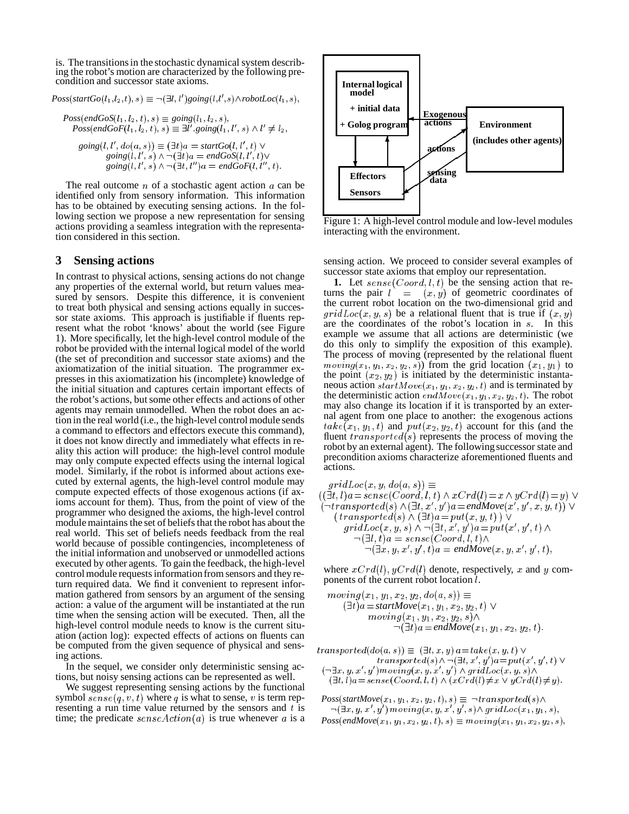is. The transitions in the stochastic dynamical system describing the robot's motion are characterized by the following precondition and successor state axioms.

 $Poss(startGo(l_1, l_2, t), s) \equiv \neg (\exists l, l') going(l, l', s) \land robotLoc(l_1, s),$ 

 $Poss(endGoS(l_1, l_2, t), s) \equiv going(l_1, l_2, s),$  $Poss(endGoF(l_1, l_2, t), s) \equiv \exists l'.going(l_1, l', s) \wedge l' \neq l_2,$  $going(l, l', do(a, s)) \equiv (\exists t)a = startGo(l, l', t)$ 

 . *going* --/01
) \* & *endGoS* --/ . *going* - /01
) / \* & *endGoF*-  "

The real outcome  $n$  of a stochastic agent action  $a$  can be identified only from sensory information. This information has to be obtained by executing sensing actions. In the following section we propose a new representation for sensing actions providing a seamless integration with the representation considered in this section.

## **3 Sensing actions**

In contrast to physical actions, sensing actions do not change any properties of the external world, but return values measured by sensors. Despite this difference, it is convenient to treat both physical and sensing actions equally in successor state axioms. This approach is justifiable if fluents represent what the robot 'knows' about the world (see Figure 1). More specifically, let the high-level control module of the robot be provided with the internal logical model of the world (the set of precondition and successor state axioms) and the axiomatization of the initial situation. The programmer expresses in this axiomatization his (incomplete) knowledge of the initial situation and captures certain important effects of the robot's actions, but some other effects and actions of other agents may remain unmodelled. When the robot does an action in the real world (i.e., the high-level control module sends a command to effectors and effectors execute this command), it does not know directly and immediately what effects in reality this action will produce: the high-level control module may only compute expected effects using the internal logical model. Similarly, if the robot is informed about actions executed by external agents, the high-level control module may compute expected effects of those exogenous actions (if axioms account for them). Thus, from the point of view of the programmer who designed the axioms, the high-level control module maintains the set of beliefs that the robot has about the real world. This set of beliefs needs feedback from the real world because of possible contingencies, incompleteness of the initial information and unobserved or unmodelled actions executed by other agents. To gain the feedback, the high-level control module requests information from sensors and they return required data. We find it convenient to represent information gathered from sensors by an argument of the sensing action: a value of the argument will be instantiated at the run time when the sensing action will be executed. Then, all the high-level control module needs to know is the current situation (action log): expected effects of actions on fluents can be computed from the given sequence of physical and sensing actions.

In the sequel, we consider only deterministic sensing actions, but noisy sensing actions can be represented as well.

We suggest representing sensing actions by the functional symbol  $\textit{sense}(q, v, t)$  where q is what to sense, v is term representing a run time value returned by the sensors and  $t$  is time; the predicate  $\mathit{senseAction}(a)$  is true whenever a is a  $\mu$ 



Figure 1: A high-level control module and low-level modules interacting with the environment.

sensing action. We proceed to consider several examples of successor state axioms that employ our representation.

**1.** Let  $\mathit{sense}(Coord, l, t)$  be the sensing action that returns the pair  $l = (x, y)$  of geometric coordinates of the current robot location on the two-dimensional grid and  $gridLoc(x, y, s)$  be a relational fluent that is true if  $(x, y)$ are the coordinates of the robot's location in s. In this example we assume that all actions are deterministic (we do this only to simplify the exposition of this example). The process of moving (represented by the relational fluent  $moving(x_1, y_1, x_2, y_2, s))$  from the grid location  $(x_1, y_1)$  to the point  $(x_2, y_2)$  is initiated by the deterministic instantaneous action  $startMove(x_1, y_1, x_2, y_2, t)$  and is terminated by the deterministic action  $endMove(x_1, y_1, x_2, y_2, t)$ . The robot may also change its location if it is transported by an external agent from one place to another: the exogenous actions  $take(x_1, y_1, t)$  and  $put(x_2, y_2, t)$  account for this (and the fluent  $transported(s)$  represents the process of moving the robot by an external agent). The following successor state and precondition axioms characterize aforementioned fluents and actions.

 $gridLoc(x, y, do(a, s)) \equiv$ -P0 "-Q: " \*\$"0
95- -% RS<#9- ):S<TRS=-9- -:U=0OV  $(\neg transported(s) \land (\exists t, x', y') \land a = endMove(x', y', x, y, t)) \lor$  -\*\$- - R P0 -Q: "
<>=3 3V  $gridLoc(x, y, s) \wedge \neg (\exists t, x', y') \land x = put(x', y', t) \wedge$ results to the contract of the contract of the contract of the contract of the contract of the contract of the  $\neg(\exists x, y, x', y', t)$ a = endMove $(x, y, x', y', t)$ ,

where  $xCrd(l)$ ,  $yCrd(l)$  denote, respectively, x and y components of the current robot location  $l$ .

$$
moving(x_1, y_1, x_2, y_2, do(a, s)) \equiv \n(\exists t)a = startMove(x_1, y_1, x_2, y_2, t) \lor \nmoving(x_1, y_1, x_2, y_2, s) \land \n\neg(\exists t)a = endMove(x_1, y_1, x_2, y_2, t).
$$

 $transform of the function  $transported(do(a, s)) \equiv (\exists t, x, y) \land a = take(x, y, t) \lor$$ #.  $transformed(s) \wedge \neg (\exists t, x', y') a = put(x', y', t) \vee$ <br> $(\neg \exists x, y, x', y') moving(x, y, x', y') \wedge gridLoc(x, y, s) \wedge$  $(\exists t, l)a = sense(Coord, l, t) \wedge (xCrd(l) \neq x \vee yCrd(l) \neq y).$ 

 $Poss(startMove(x_1, y_1, x_2, y_2, t), s) \equiv \neg transfected(s) \land$  $\neg(\exists x, y, x', y') \, moving(x, y, x', y', s) \wedge gridLoc(x_1, y_1, s),$  $Poss(endMove(x_1, y_1, x_2, y_2, t), s) \equiv moving(x_1, y_1, x_2, y_2, s)$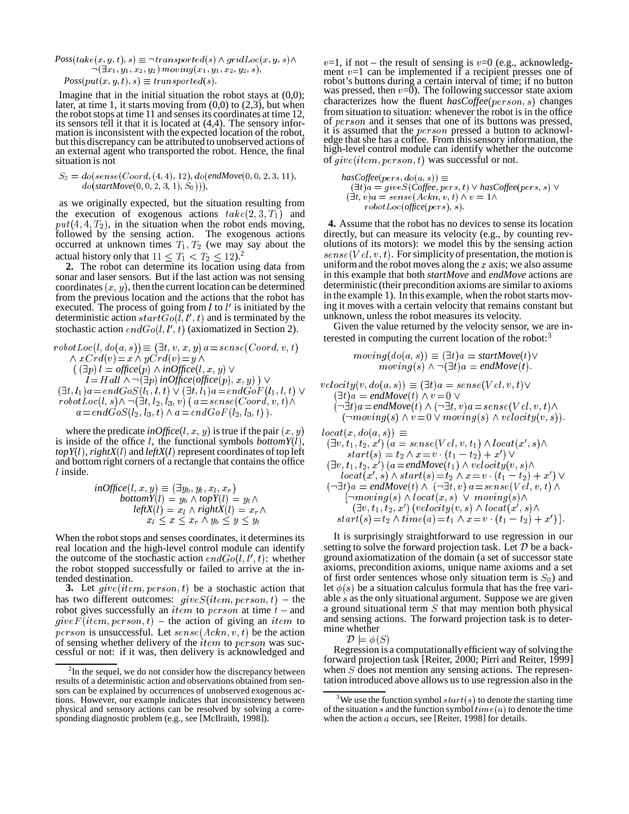$$
Poss(take(x, y, t), s) \equiv \neg transported(s) \land gridLoc(x, y, s) \land \n\neg(\exists x_1, y_1, x_2, y_2) moving(x_1, y_1, x_2, y_2, s),
$$
\n
$$
Poss(put(x, y, t), s) \equiv transformed(s).
$$

Imagine that in the initial situation the robot stays at  $(0,0)$ ; later, at time 1, it starts moving from  $(0,0)$  to  $(2,3)$ , but when the robot stops at time 11 and senses its coordinates at time 12, its sensors tell it that it is located at  $(4,4)$ . The sensory information is inconsistent with the expected location of the robot, but this discrepancy can be attributed to unobserved actions of an external agent who transported the robot. Hence, the final situation is not

$$
S_3 = do(sense(Coord, (4, 4), 12), do(endMove(0, 0, 2, 3, 11), do(sartMove(0, 0, 2, 3, 1), S_0))),
$$

as we originally expected, but the situation resulting from the execution of exogenous actions  $take(2, 3, T_1)$  and  $put(4, 4, T_2)$ , in the situation when the robot ends moving, followed by the sensing action. The exogenous actions occurred at unknown times  $T_1, T_2$  (we may say about the actual history only that  $11 \leq T_1 < T_2 \leq 12$ .

**2.** The robot can determine its location using data from sonar and laser sensors. But if the last action was not sensing coordinates  $(x, y)$ , then the current location can be determined from the previous location and the actions that the robot has executed. The process of going from  $l$  to  $l'$  is initiated by the deterministic action  $startGo(l, l', t)$  and is terminated by the stochastic action  $endGo(l, l', t)$  (axiomatized in Section 2).

$$
robotLoc(l, do(a, s)) \equiv (\exists t, v, x, y) a = sense(Coord, v, t)
$$
\n
$$
\land xCrd(v) = x \land yCrd(v) = y \land
$$
\n
$$
((\exists p) l = office(p) \land inOffice(l, x, y) \lor
$$
\n
$$
l = Hall \land \neg(\exists p) inOffice(offset(ep), x, y)) \lor
$$
\n
$$
(\exists t, l_1)a = endGoS(l_1, l, t) \lor (\exists t, l_1)a = endGoF(l_1, l, t) \lor
$$
\n
$$
robotLoc(l, s) \land \neg(\exists t, l_2, l_3, v) (a = sense(Coord, v, t) \land
$$
\n
$$
a = endGoS(l_2, l_3, t) \land a = endGoF(l_2, l_3, t)).
$$
\n(3)

where the predicate *inOffice*(*l*, *x*, *y*) is true if the pair  $(x, y)$ is inside of the office  $l$ , the functional symbols *bottomY* $(l)$ ,  $topY(l)$ ,  $rightX(l)$  and  $leftX(l)$  represent coordinates of top left and bottom right corners of a rectangle that contains the office  $l$  inside.

$$
inOffice(l, x, y) \equiv (\exists y_b, y_t, x_l, x_r) \nbottom Y(l) = y_b \land top Y(l) = y_t \land \nleft(X(l) = x_l \land rightX(l) = x_r \land \n x_l \le x \le x_r \land y_b \le y \le y_t
$$

When the robot stops and senses coordinates, it determines its real location and the high-level control module can identify the outcome of the stochastic action  $endGo(l, l', t)$ : whether the robot stopped successfully or failed to arrive at the intended destination.

**3.** Let  $give(item, person, t)$  be a stochastic action that has two different outcomes:  $give S(item, person, t) - the$ robot gives successfully an *item* to *person* at time  $t$  – and  $give F (item, person, t)$  – the action of giving an *item* to *person* is unsuccessful. Let  $\mathit{sense}(Ackn, v, t)$  be the action of sensing whether delivery of the  $item$  to  $person$  was successful or not: if it was, then delivery is acknowledged and

 $x, y, s$   $\wedge$   $v=1$ , if not – the result of sensing is  $v=0$  (e.g., acknowledgment  $v=1$  can be implemented if a recipient presses one of robot's buttons during a certain interval of time; if no button was pressed, then  $v=0$ ). The following successor state axiom characterizes how the fluent *hasCoffee* (*person*, *s*) changes from situation to situation: whenever the robot is in the office of *person* and it senses that one of its buttons was pressed, it is assumed that the  $person$  pressed a button to acknowledge that she has a coffee. From this sensory information, the high-level control module can identify whether the outcome of  $give (item, person, t)$  was successful or not.

$$
has Coffee(pers, do(a, s)) \equiv
$$
  
\n
$$
(\exists t)a = gives(Coffee, pers, t) \lor has Coffee(pers, s) \lor
$$
  
\n
$$
(\exists t, v)a = sense(Ackn, v, t) \land v = 1 \land
$$
  
\n
$$
robotLoc(office(pers), s).
$$

**4.** Assume that the robot has no devices to sense its location directly, but can measure its velocity (e.g., by counting revolutions of its motors): we model this by the sensing action  $sense(Vel, v, t)$ . For simplicity of presentation, the motion is uniform and the robot moves along the  $x$  axis; we also assume in this example that both *startMove* and *endMove* actions are deterministic (their precondition axioms are similar to axioms in the example 1). In this example, when the robot starts moving it moves with a certain velocity that remains constant but unknown, unless the robot measures its velocity.

Given the value returned by the velocity sensor, we are interested in computing the current location of the robot:<sup>3</sup>

$$
moving(do(a, s)) \equiv (\exists t)a = startMove(t) \vee
$$
  

$$
moving(s) \wedge \neg (\exists t)a = endMove(t).
$$

$$
t) \vee \begin{array}{ll} & & & & & & & \\ t) \vee & & & & & & \\ \hline & & & & & & \\ \wedge & & & & & & \\ \wedge & & & & & & \\ \wedge & & & & & & \\ \end{array}
$$

' "< 
 -lN  $( \exists v, t_1, t_2, x')$   $(a = sense$   $\vee$   $et, v, t_1$   $)$   $\wedge$   $local(x', s)$   $\wedge$  $start(s) = t_2 \wedge x = v \cdot (t_1 - t_2) + x' \cdot v'$  $(\exists v, t_1, t_2, x')$   $(a = \text{endMove}(t_1) \wedge \text{velocity}(v, s) \wedge$  $local(x', s) \wedge start(s) = t_2 \wedge x = v \cdot (t_1 - t_2) + x' \vee$  $(\neg \exists t) a = \text{endMove}(t) \land (\neg \exists t, v) a = \text{sense}(Vel, v, t) \land$  $\lceil \neg moving(s) \wedge local(x, s) \vee moving(s) \wedge$  $(\exists v, t_1, t_2, x')$  (velocity(v, s)  $\wedge$  locat(x', s) $\wedge$  $start(s) = t_2 \wedge time(a) = t_1 \wedge x = v \cdot (t_1 - t_2) + x'$ .

 $t_{em}$  to and sensing actions. The forward projection task is to deter-It is surprisingly straightforward to use regression in our setting to solve the forward projection task. Let  $D$  be a background axiomatization of the domain (a set of successor state axioms, precondition axioms, unique name axioms and a set of first order sentences whose only situation term is  $S_0$ ) and let  $\phi(s)$  be a situation calculus formula that has the free variable  $s$  as the only situational argument. Suppose we are given a ground situational term  $S$  that may mention both physical mine whether

 $\mathcal{D} \models \phi(S)$ 

Regression is a computationally efficient way of solving the forward projection task [Reiter, 2000; Pirri and Reiter, 1999] when  $S$  does not mention any sensing actions. The representation introduced above allows us to use regression also in the

 $2$ In the sequel, we do not consider how the discrepancy between results of a deterministic action and observations obtained from sensors can be explained by occurrences of unobserved exogenous actions. However, our example indicates that inconsistency between physical and sensory actions can be resolved by solving a corresponding diagnostic problem (e.g., see [McIlraith, 1998]).

<sup>&</sup>lt;sup>3</sup>We use the function symbol  $start(s)$  to denote the starting time of the situation s and the function symbol  $time(a)$  to denote the time when the action  $a$  occurs, see [Reiter, 1998] for details.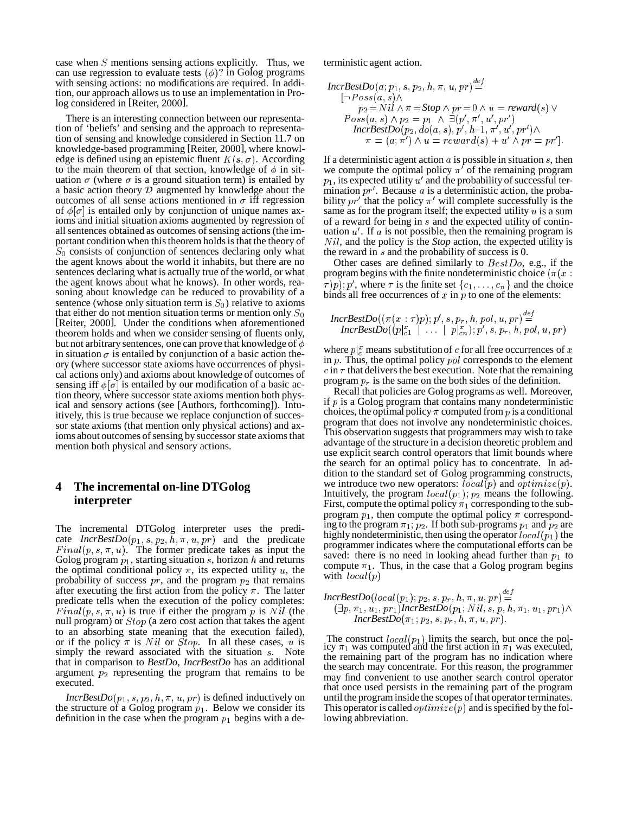case when  $S$  mentions sensing actions explicitly. Thus, we can use regression to evaluate tests  $(\phi)$ ? in Golog programs with sensing actions: no modifications are required. In addition, our approach allows us to use an implementation in Prolog considered in [Reiter, 2000].

There is an interesting connection between our representation of 'beliefs' and sensing and the approach to representation of sensing and knowledge considered in Section 11.7 on knowledge-based programming [Reiter, 2000], where knowledge is defined using an epistemic fluent  $K(s, \sigma)$ . According to the main theorem of that section, knowledge of  $\phi$  in situation  $\sigma$  (where  $\sigma$  is a ground situation term) is entailed by a basic action theory  $D$  augmented by knowledge about the outcomes of all sense actions mentioned in  $\sigma$  iff regression of  $\phi[\sigma]$  is entailed only by conjunction of unique names axioms and initial situation axioms augmented by regression of all sentences obtained as outcomes of sensing actions (the important condition when this theorem holds is that the theory of  $S_0$  consists of conjunction of sentences declaring only what the agent knows about the world it inhabits, but there are no sentences declaring what is actually true of the world, or what the agent knows about what he knows). In other words, reasoning about knowledge can be reduced to provability of a sentence (whose only situation term is  $S_0$ ) relative to axioms that either do not mention situation terms or mention only  $S_0$ [Reiter, 2000]. Under the conditions when aforementioned theorem holds and when we consider sensing of fluents only, but not arbitrary sentences, one can prove that knowledge of  $\phi$ in situation  $\sigma$  is entailed by conjunction of a basic action theory (where successor state axioms have occurrences of physical actions only) and axioms about knowledge of outcomes of sensing iff  $\phi[\sigma]$  is entailed by our modification of a basic action theory, where successor state axioms mention both physical and sensory actions (see [Authors, forthcoming]). Intuitively, this is true because we replace conjunction of successor state axioms (that mention only physical actions) and axioms about outcomes of sensing by successor state axioms that mention both physical and sensory actions.

## **4 The incremental on-line DTGolog interpreter**

The incremental DTGolog interpreter uses the predicate  $IncrBestDo(p_1, s, p_2, h, \pi, u, pr)$  and the predicate  $Final(p, s, \pi, u)$ . The former predicate takes as input the Golog program  $p_1$ , starting situation s, horizon h and returns the optimal conditional policy  $\pi$ , its expected utility u, the probability of success  $pr$ , and the program  $p_2$  that remains after executing the first action from the policy  $\pi$ . The latter predicate tells when the execution of the policy completes:  $Final(p, s, \pi, u)$  is true if either the program p is Nil (the  $\Box p$ , null program) or  $Stop$  (a zero cost action that takes the agent to an absorbing state meaning that the execution failed), or if the policy  $\pi$  is Nil or Stop. In all these cases, u is  $\frac{10}{100}$ simply the reward associated with the situation  $s$ . Note that in comparison to *BestDo*, *IncrBestDo* has an additional argument  $p_2$  representing the program that remains to be executed.

*IncrBestDo* $(p_1, s, p_2, h, \pi, u, pr)$  is defined inductively on the structure of a Golog program  $p_1$ . Below we consider its definition in the case when the program  $p_1$  begins with a deterministic agent action.

$$
IncrBestDo(a; p_1, s, p_2, h, \pi, u, pr) \stackrel{def}{=} \n\begin{cases}\n-Poss(a, s) \land & p_2 = Nil \land \pi = Stop \land pr = 0 \land u = reward(s) \lor \\
Poss(a, s) \land p_2 = p_1 \land \exists (p', \pi', u', pr') \\
Incr BestDo(p_2, do(a, s), p', h-1, \pi', u', pr') \land \\
\pi = (a; \pi') \land u = reward(s) + u' \land pr = pr']\n\end{cases}
$$

If a deterministic agent action  $\alpha$  is possible in situation  $\alpha$ , then we compute the optimal policy  $\pi'$  of the remaining program  $p_1$ , its expected utility  $u'$  and the probability of successful termination  $pr'$ . Because a is a deterministic action, the probability  $pr'$  that the policy  $\pi'$  will complete successfully is the same as for the program itself; the expected utility  $u$  is a sum of a reward for being in  $s$  and the expected utility of continuation  $u'$ . If  $a$  is not possible, then the remaining program is  $Nil$ , and the policy is the *Stop* action, the expected utility is the reward in  $s$  and the probability of success is 0.

Other cases are defined similarly to  $BestDo$ , e.g., if the program begins with the finite nondeterministic choice ( $\pi(x)$  $\{\tau(p); p', \text{ where } \tau \text{ is the finite set } \{c_1, \ldots, c_n\} \text{ and the choice }$ binds all free occurrences of  $x$  in  $p$  to one of the elements:

$$
\textit{IncrBestDo}((\pi(x\::\: p); p', s, p_r, h, pol, u, pr) \mathop{=}\limits^{def} \newline \textit{IncrBestDo}((p|_{c1}^x \mid \ \ldots \ \mid p|_{cn}^s); p', s, p_r, h, pol, u, pr)
$$

where  $p|_{c}^{x}$  means substitution of c for all free occurrences of x in  $p$ . Thus, the optimal policy  $pol$  corresponds to the element  $\epsilon$  in  $\tau$  that delivers the best execution. Note that the remaining program  $p_r$  is the same on the both sides of the definition.

Recall that policies are Golog programs as well. Moreover, if  $p$  is a Golog program that contains many nondeterministic choices, the optimal policy  $\pi$  computed from  $p$  is a conditional program that does not involve any nondeterministic choices. This observation suggests that programmers may wish to take advantage of the structure in a decision theoretic problem and use explicit search control operators that limit bounds where the search for an optimal policy has to concentrate. In addition to the standard set of Golog programming constructs, we introduce two new operators:  $local(p)$  and  $optimize(p)$ . Intuitively, the program  $local(p_1)$ ,  $p_2$  means the following. First, compute the optimal policy  $\pi_1$  corresponding to the subprogram  $p_1$ , then compute the optimal policy  $\pi$  corresponding to the program  $\pi_1$ ,  $p_2$ . If both sub-programs  $p_1$  and  $p_2$  are highly nondeterministic, then using the operator  $local(p_1)$  the programmer indicates where the computational efforts can be saved: there is no need in looking ahead further than  $p_1$  to compute  $\pi_1$ . Thus, in the case that a Golog program begins with  $local(p)$ 

$$
\begin{array}{l} \mathit{IncrBestDo}(local(p_1);p_2,s,p_r,h,\pi,u,pr) \mathop{=}^{\mathit{def}} \\ \textit{(}\exists p,\pi_1,u_1,pr_1)\mathit{IncrBestDo}(p_1;Nil,s,p,h,\pi_1,u_1,pr_1) \wedge \\ \mathit{IncrBestDo}(\pi_1;p_2,s,p_r,h,\pi,u,pr).\end{array}
$$

The construct  $local(p_1)$  limits the search, but once the pol-<br>icy  $\pi_1$  was computed and the first action in  $\pi_1$  was executed, the remaining part of the program has no indication where the search may concentrate. For this reason, the programmer may find convenient to use another search control operator that once used persists in the remaining part of the program until the program inside the scopes of that operator terminates. This operator is called  $\textit{optimize}(p)$  and is specified by the following abbreviation.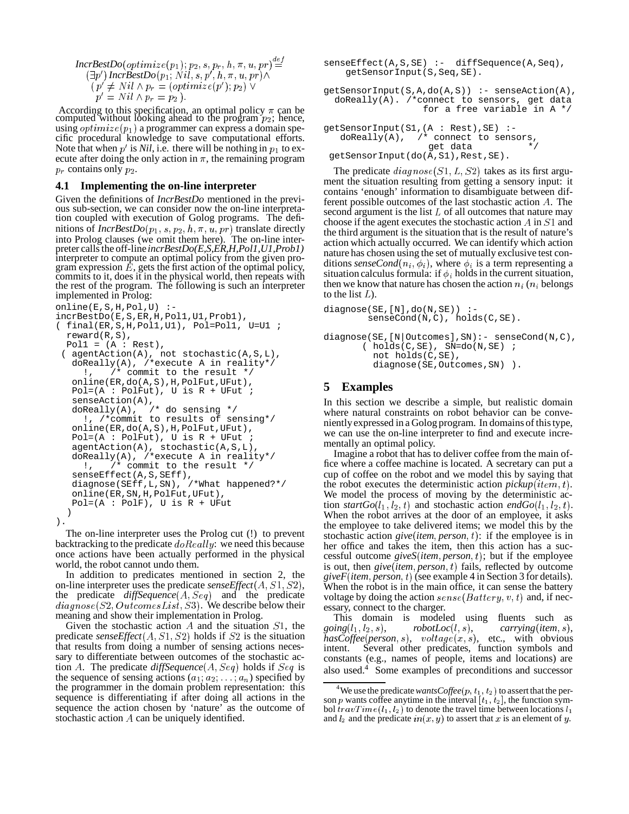```
IncrBestDo(optimize (p_1); p_2, s, p_r, h, \pi, u, pr) {\overset{def}{=}} \qquad \qquad \textsf{sens}(\exists p') IncrBestDo (p_1; Nil, s, p', h, \pi, u, pr) \wedge\langle p \rangle \neq N if \wedge p_r = (\text{optimize}(p) \mid p_2) \veep' = Nil \wedge p_r = p_2).
```
According to this specification, an optimal policy  $\pi$  can be computed without looking ahead to the program  $p_2$ ; hence, using  $\textit{optimize}(p_1)$  a programmer can express a domain specific procedural knowledge to save computational efforts. Note that when  $p'$  is *Nil*, i.e. there will be nothing in  $p_1$  to execute after doing the only action in  $\pi$ , the remaining program  $p_r$  contains only  $p_2$ .

#### **4.1 Implementing the on-line interpreter**

Given the definitions of *IncrBestDo* mentioned in the previous sub-section, we can consider now the on-line interpretation coupled with execution of Golog programs. The definitions of  $IncrBestDo(p_1, s, p_2, h, \pi, u, pr)$  translate directly into Prolog clauses (we omit them here). The on-line interpreter calls the off-line *incrBestDo(E,S,ER,H,Pol1,U1,Prob1)* interpreter to compute an optimal policy from the given program expression  $\hat{E}$ , gets the first action of the optimal policy, commits to it, does it in the physical world, then repeats with the rest of the program. The following is such an interpreter implemented in Prolog:

```
online(E,S,H,Pol,U) :-
incrBestDo(E,S,ER,H,Pol1,U1,Prob1),
( final(ER,S,H,Pol1,U1), Pol=Pol1, U=U1 ;
  reward(R,S),
  Pol1 = (A : Rest),( agentAction(A), not stochastic(A,S,L),
   doReally(A), /*execute A in reality*/
     !, /* commit to the result */
   online(ER,do(A,S),H,PolFut,UFut),
   Pol=(A : PolFut), U is R + UFut;
   senseAction(A),
   doReally(A), \frac{1}{4} do sensing */
     !, /*commit to results of sensing*/
   online(ER,do(A,S),H,PolFut,UFut),
   Pol=(A : PolFut), U is R + UFut ;
   agentAction(A), stochastic(A,S,L),
   doReally(A), /*execute A in reality*/
     !, /* commit to the result */
   senseEffect(A,S,SEff),
   diagnose(SEff,L,SN), /*What happened?*/
   online(ER,SN,H,PolFut,UFut),
   Pol=(A : PolF), U is R + UFut)
).
```
The on-line interpreter uses the Prolog cut (!) to prevent backtracking to the predicate  $doReally$ : we need this because once actions have been actually performed in the physical world, the robot cannot undo them.

In addition to predicates mentioned in section 2, the on-line interpreter uses the predicate  $\mathit{senseEffect}(A, S1, S2)$ , the predicate  $diffSequence(A, Seq)$  and the predicate  $diagnose(S2, OutcomesList, S3).$  We describe below their meaning and show their implementation in Prolog.

Given the stochastic action  $A$  and the situation  $S1$ , the predicate *senseEffect*( $A, S1, S2$ ) holds if  $S2$  is the situation that results from doing a number of sensing actions necessary to differentiate between outcomes of the stochastic action A. The predicate  $diffSequence(A, Seq)$  holds if  $Seq$  is the sequence of sensing actions  $(a_1, a_2, \ldots, a_n)$  specified by the programmer in the domain problem representation: this sequence is differentiating if after doing all actions in the sequence the action chosen by 'nature' as the outcome of stochastic action  $A$  can be uniquely identified.

senseEffect(A,S,SE) :- diffSequence(A,Seq), getSensorInput(S,Seq,SE).

 $getSensorInput(S, A, do(A, S)) :- senseAction(A),$ doReally(A). /\*connect to sensors, get data for a free variable in A \*/

```
getSensorInput(S1,(A : Rest),SE) :-
  doReally(A), /* connect to sensors,
                   get data
getSensorInput(do(A,S1),Rest,SE).
```
The predicate  $diagnose(S1, L, S2)$  takes as its first argument the situation resulting from getting a sensory input: it contains 'enough' information to disambiguate between different possible outcomes of the last stochastic action A. The second argument is the list  $L$  of all outcomes that nature may choose if the agent executes the stochastic action  $A$  in  $S1$  and the third argument is the situation that is the result of nature's action which actually occurred. We can identify which action nature has chosen using the set of mutually exclusive test conditions *senseCond*( $n_i$ ,  $\phi_i$ ), where  $\phi_i$  is a term representing a situation calculus formula: if  $\phi_i$  holds in the current situation, then we know that nature has chosen the action  $n_i$  ( $n_i$  belongs

```
diagnose(SE,[N],do(N,SE)) :-
        senseCond(N,C), holds(C,SE).
diagnose(SE,[N|Outcomes],SN):- senseCond(N,C),
       (holds(C,SE), SN=do(N,SE);not holds(C,SE),
         diagnose(SE,Outcomes,SN) ).
```
## **5 Examples**

to the list  $L$ ).

In this section we describe a simple, but realistic domain where natural constraints on robot behavior can be convenientlyexpressed in a Golog program. In domains of thistype, we can use the on-line interpreter to find and execute incrementally an optimal policy.

Imagine a robot that has to deliver coffee from the main office where a coffee machine is located. A secretary can put a cup of coffee on the robot and we model this by saying that the robot executes the deterministic action  $pickup(item, t)$ . We model the process of moving by the deterministic action *startGo*( $l_1$ ,  $l_2$ , t) and stochastic action *endGo*( $l_1$ ,  $l_2$ , t). When the robot arrives at the door of an employee, it asks the employee to take delivered items; we model this by the stochastic action  $give (item, person, t)$ : if the employee is in her office and takes the item, then this action has a successful outcome  $give S(item, person, t)$ ; but if the employee is out, then *give*(*item*, *person*, *t*) fails, reflected by outcome  $giveF(item, person, t)$  (see example 4 in Section 3 for details). When the robot is in the main office, it can sense the battery voltage by doing the action  $\text{se}$  nse $(\text{Battery}, v, t)$  and, if necessary, connect to the charger.

This domain is modeled using fluents such as  $going (l_1, l_2, s),$  $*carrying*(*item*, s),$  $hasCoffee (person, s), voltage(x, s), etc., with obvious$ intent. Several other predicates, function symbols and constants (e.g., names of people, items and locations) are also used.<sup>4</sup> Some examples of preconditions and successor

<sup>&</sup>lt;sup>4</sup>We use the predicate wants Coffee( $p, t_1, t_2$ ) to assert that the person p wants coffee anytime in the interval  $[t_1, t_2]$ , the function symbol  $travTime(l_1, l_2)$  to denote the travel time between locations  $l_1$ and  $l_2$  and the predicate  $in(x, y)$  to assert that x is an element of y.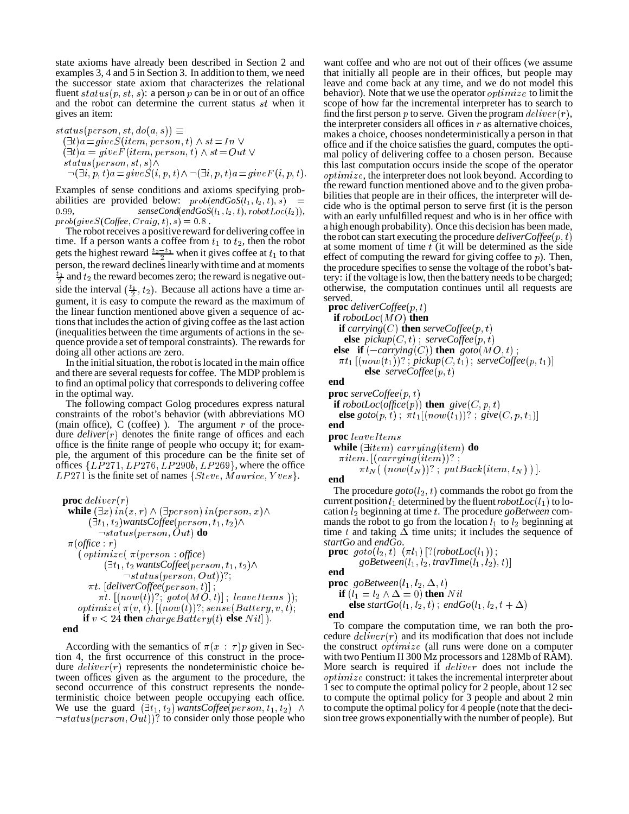state axioms have already been described in Section 2 and examples 3, 4 and 5 in Section 3. In addition to them, we need the successor state axiom that characterizes the relational fluent  $status(p, st, s)$ : a person p can be in or out of an office and the robot can determine the current status  $st$  when it gives an item:

 0 - \* " -ON  $(\exists t) a = giveS(item, person, t) \wedge st = In \vee$  $(\exists t) a = giveF(item, person, t) \wedge st = Out \vee$  0 "- \* ""R  $\neg(\exists i, p, t) a = give S(i, p, t) \land \neg(\exists i, p, t) a = give F(i, p, t).$ 

Examples of sense conditions and axioms specifying probabilities are provided below:  $prob(endGoS(t_1, t_2, t), s)$  =  $\qquad$  or  $t_1$  $senseCond(endGoS(l_1, l_2, t), robotLoc(l_2)),$  $prob(giveS(Coffee, Craig, t), s) = 0.8$ .

The robotreceives a positive reward for delivering coffee in time. If a person wants a coffee from  $t_1$  to  $t_2$ , then the robot gets the highest reward  $\frac{t_2-t_1}{2}$  when it gives coffee at  $t_1$  to that person, the reward declines linearly with time and at moments  $\frac{t_1}{2}$  and  $t_2$  the reward becomes zero; the reward is negative outside the interval  $(\frac{t_1}{2}, t_2)$ . Because all actions have a time argument, it is easy to compute the reward as the maximum of the linear function mentioned above given a sequence of actionsthat includesthe action of giving coffee as the last action (inequalities between the time arguments of actions in the sequence provide a set of temporal constraints). The rewards for doing all other actions are zero.

In the initial situation, the robot is located in the main office and there are several requests for coffee. The MDP problem is to find an optimal policy that corresponds to delivering coffee in the optimal way.

The following compact Golog procedures express natural constraints of the robot's behavior (with abbreviations MO (main office),  $C$  (coffee) ). The argument  $r$  of the procedure  $deliver(r)$  denotes the finite range of offices and each office is the finite range of people who occupy it; for example, the argument of this procedure can be the finite set of offices  $\{LP271, LP276, LP290b, LP269\}$ , where the office  $LP271$  is the finite set of names  $\{Steve, Maurice, Yves\}$ .

```
\mathbf{proc}\;deliver(r)while (\exists x) in(x, r) \wedge (\exists person) in(person, x) \wedge(\exists t_1, t_2)wantsCoffee(person, t_1, t_2)\wedge\neg status (person, Out) do
 \pi(office:r)(\; optimizer (\; \pi (person: \; office) \;(\exists t_1, t_2 \textit{wants} \textit{Coffee} (\textit{person}, t_1, t_2) \land\neg status (person, Out):
       \pi t . [deliverCoffee (person, t)] ;
          \pi t. [(now(t))]; goto(MO, t)]; leaveItems ));
    \textit{optimize}({\color{red}\pi(v, t)}{\color{black}.\;[(\textit{now}(t)){\color{black}?}; \textit{sense}(Battery, v, t)]};if v < 24 then chargeBattery(t) else Nil ).
end
```
According with the semantics of  $\pi(x : \tau)p$  given in Section 4, the first occurrence of this construct in the procedure  $deliver(r)$  represents the nondeterministic choice between offices given as the argument to the procedure, the second occurrence of this construct represents the nondeterministic choice between people occupying each office. We use the guard  $(\exists t_1, t_2)$  *wantsCoffee*  $\text{person}, t_1, t_2)$   $\wedge$  $\neg status(person, Out))$ ? to consider only those people who

want coffee and who are not out of their offices (we assume that initially all people are in their offices, but people may leave and come back at any time, and we do not model this behavior). Note that we use the operator  $\textit{optimize}$  to limit the scope of how far the incremental interpreter has to search to find the first person p to serve. Given the program  $\text{deliver}(r)$ , the interpreter considers all offices in  $r$  as alternative choices, makes a choice, chooses nondeterministically a person in that office and if the choice satisfies the guard, computes the optimal policy of delivering coffee to a chosen person. Because this last computation occurs inside the scope of the operator  $optimize$ , the interpreter does not look beyond. According to the reward function mentioned above and to the given probabilities that people are in their offices, the interpreter will decide who is the optimal person to serve first (it is the person with an early unfulfilled request and who is in her office with a high enough probability). Once this decision has been made, the robot can start executing the procedure *deliverCoffee* at some moment of time  $t$  (it will be determined as the side effect of computing the reward for giving coffee to  $p$ ). Then, the procedure specifies to sense the voltage of the robot's battery: if the voltage islow, then the battery needs to be charged; otherwise, the computation continues until all requests are served.

**proc** *deliverCoffee* **if**  $\text{robotLoc}(MO)$  then **if**  $carrying(C)$  **then**  $serveCoffee(p, t)$ **else**  $picture(C, t)$ ;  $serveCoffee(p, t)$ **else** if  $(-\operatorname{carrying}(C))$  then  $\operatorname{goto}(MO, t)$ ;  $\pi t_1$   $[(now(t_1))^?$  ,  $pickup(C, t_1)$  ,  $serveCoffee(p, t_1)]$ **else**  $serveCoffee(p, t)$ **end proc**  $\textit{serveCoffee}(p, t)$ 

**if**  $robotLoc(office(p))$  **then**  $give(C, p, t)$ **else**  $\mathit{goto}(p,t)$  ;  $\pi t_1[(\mathit{now}(t_1))^?$  ;  $\mathit{give}(C, p, t_1)]$ **end**

 $\mathbf{proc} \: leave \: Items$ 

while  $(\exists item)$  carrying (item)  $\bf{do}$ 

 $\pi item$ .  $|(carrying(item))$ ?:

```
\pi t_N( (now(t_N))?; put Back(item, t_N)).
```
**end**

The procedure  $\text{goto}(l_2, t)$  commands the robot go from the current position  $l_1$  determined by the fluent  $robotLoc(l_1)$  to location  $l_2$  beginning at time t. The procedure *goBetween* commands the robot to go from the location  $l_1$  to  $l_2$  beginning at time t and taking  $\overline{\Delta}$  time units; it includes the sequence of *startGo* and *endGo*.

**proc**  $\text{goto}(l_2, t) \ (\pi l_1) \ [?(\text{robotLoc}(l_1))\ ;$  ${goBetween (l_1, l_2, travTime (l_1, l_2), t)}$ 

**end**

**proc**  $\textit{goBetween}(l_1, l_2, \Delta, t)$ 

if 
$$
(l_1 = l_2 \land \Delta = 0)
$$
 then  $Nil$   
else startGo $(l_1, l_2, t)$ ; endGo $(l_1, l_2, t + \Delta)$ 

**end**

 $\land$  to compute the optimal policy for 4 people (note that the deci-To compare the computation time, we ran both the procedure  $\text{deliver}(r)$  and its modification that does not include the construct  $\textit{optimize}$  (all runs were done on a computer with two Pentium II 300 Mz processors and 128Mb of RAM). More search is required if  $d$ eliver does not include the  $\textit{optimize}$  construct: it takes the incremental interpreter about 1 sec to compute the optimal policy for 2 people, about 12 sec to compute the optimal policy for 3 people and about 2 min sion tree grows exponentiallywith the number of people). But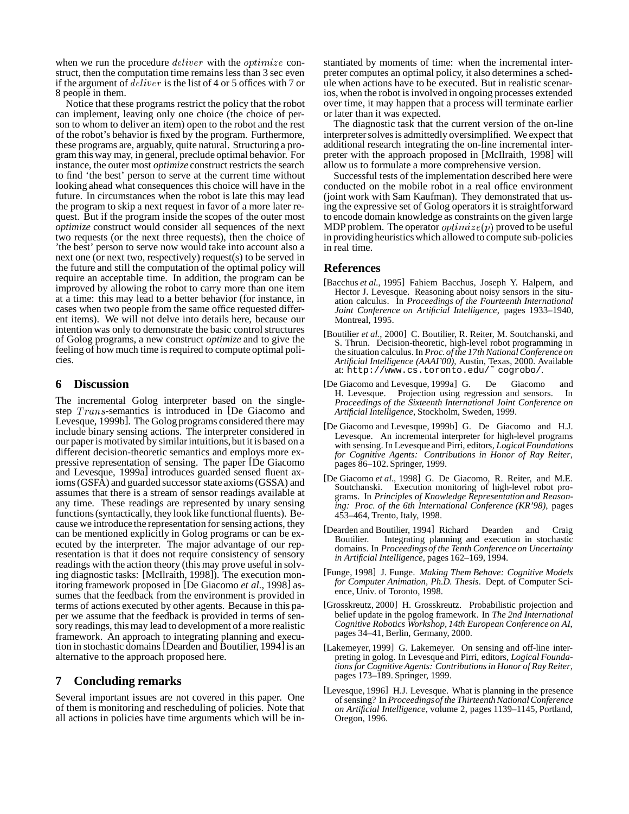when we run the procedure  $\text{d}\text{e} \text{d}\text{e}$  with the  $\text{e} \text{p} \text{t} \text{d}\text{m} \text{d}\text{e}$  construct, then the computation time remains less than 3 sec even if the argument of  $deliver$  is the list of 4 or 5 offices with 7 or 8 people in them.

Notice that these programs restrict the policy that the robot can implement, leaving only one choice (the choice of person to whom to deliver an item) open to the robot and the rest of the robot's behavior is fixed by the program. Furthermore, these programs are, arguably, quite natural. Structuring a program this way may, in general, preclude optimal behavior. For instance, the outer most *optimize* construct restricts the search to find 'the best' person to serve at the current time without looking ahead what consequences this choice will have in the future. In circumstances when the robot is late this may lead the program to skip a next request in favor of a more later request. But if the program inside the scopes of the outer most *optimize* construct would consider all sequences of the next two requests (or the next three requests), then the choice of 'the best' person to serve now would take into account also a next one (or next two, respectively) request(s) to be served in the future and still the computation of the optimal policy will require an acceptable time. In addition, the program can be improved by allowing the robot to carry more than one item at a time: this may lead to a better behavior (for instance, in cases when two people from the same office requested different items). We will not delve into details here, because our intention was only to demonstrate the basic control structures of Golog programs, a new construct *optimize* and to give the feeling of how much time is required to compute optimal policies.

### **6 Discussion**

The incremental Golog interpreter based on the singlestep  $Trans$ -semantics is introduced in [De Giacomo and Levesque, 1999b]. The Golog programs considered there may include binary sensing actions. The interpreter considered in our paper is motivated by similarintuitions,but it is based on a different decision-theoretic semantics and employs more expressive representation of sensing. The paper [De Giacomo and Levesque, 1999a] introduces guarded sensed fluent axioms(GSFA) and guarded successor state axioms(GSSA) and assumes that there is a stream of sensor readings available at any time. These readings are represented by unary sensing functions (syntactically, they look like functional fluents). Because we introduce the representation forsensing actions, they can be mentioned explicitly in Golog programs or can be executed by the interpreter. The major advantage of our representation is that it does not require consistency of sensory readings with the action theory (this may prove useful in solving diagnostic tasks: [McIlraith, 1998]). The execution monitoring framework proposed in [De Giacomo *et al.*, 1998] assumes that the feedback from the environment is provided in terms of actions executed by other agents. Because in this paper we assume that the feedback is provided in terms of sensory readings, this may lead to development of a more realistic framework. An approach to integrating planning and execution in stochastic domains [Dearden and Boutilier, 1994] is an alternative to the approach proposed here.

## **7 Concluding remarks**

Several important issues are not covered in this paper. One of them is monitoring and rescheduling of policies. Note that all actions in policies have time arguments which will be instantiated by moments of time: when the incremental interpreter computes an optimal policy, it also determines a schedule when actions have to be executed. But in realistic scenarios, when the robot is involved in ongoing processes extended over time, it may happen that a process will terminate earlier or later than it was expected.

The diagnostic task that the current version of the on-line interpreter solves is admittedly oversimplified. We expect that additional research integrating the on-line incremental interpreter with the approach proposed in [McIlraith, 1998] will allow us to formulate a more comprehensive version.

Successful tests of the implementation described here were conducted on the mobile robot in a real office environment (joint work with Sam Kaufman). They demonstrated that using the expressive set of Golog operators it is straightforward to encode domain knowledge as constraints on the given large MDP problem. The operator  $\textit{optimize}(p)$  proved to be useful in providingheuristics which allowed to compute sub-policies in real time.

## **References**

- [Bacchus *et al.*, 1995] Fahiem Bacchus, Joseph Y. Halpern, and Hector J. Levesque. Reasoning about noisy sensors in the situation calculus. In *Proceedings of the Fourteenth International Joint Conference on Artificial Intelligence*, pages 1933–1940, Montreal, 1995.
- [Boutilier *et al.*, 2000] C. Boutilier, R. Reiter, M. Soutchanski, and S. Thrun. Decision-theoretic, high-level robot programming in the situation calculus. In *Proc. of the 17th NationalConferenceon Artificial Intelligence (AAAI'00)*, Austin, Texas, 2000. Available at: http://www.cs.toronto.edu/˜ cogrobo/.
- [De Giacomo and Levesque, 1999a] G. De Giacomo and H. Levesque. Projection using regression and sensors. In *Proceedings of the Sixteenth International Joint Conference on Artificial Intelligence*, Stockholm, Sweden, 1999.
- [De Giacomo and Levesque, 1999b] G. De Giacomo and H.J. Levesque. An incremental interpreter for high-level programs with sensing. In Levesqueand Pirri, editors, *Logical Foundations for Cognitive Agents: Contributions in Honor of Ray Reiter*, pages 86–102. Springer, 1999.
- [De Giacomo *et al.*, 1998] G. De Giacomo, R. Reiter, and M.E. Soutchanski. Execution monitoring of high-level robot programs. In *Principles of Knowledge Representation and Reasoning: Proc. of the 6th International Conference (KR'98)*, pages 453–464, Trento, Italy, 1998.
- [Dearden and Boutilier, 1994] Richard Dearden and Craig Boutilier. Integrating planning and execution in stochastic domains. In *Proceedings of the Tenth Conference on Uncertainty in Artificial Intelligence*, pages 162–169, 1994.
- [Funge, 1998] J. Funge. *Making Them Behave: Cognitive Models for Computer Animation, Ph.D. Thesis*. Dept. of Computer Science, Univ. of Toronto, 1998.
- [Grosskreutz, 2000] H. Grosskreutz. Probabilistic projection and belief update in the pgolog framework. In *The 2nd International Cognitive Robotics Workshop, 14th European Conference on AI*, pages 34–41, Berlin, Germany, 2000.
- [Lakemeyer, 1999] G. Lakemeyer. On sensing and off-line interpreting in golog. In Levesque and Pirri, editors, *Logical Foundationsfor Cognitive Agents: Contributionsin Honor of Ray Reiter*, pages 173–189. Springer, 1999.
- [Levesque, 1996] H.J. Levesque. What is planning in the presence ofsensing? In *Proceedingsof the ThirteenthNationalConference on Artificial Intelligence*, volume 2, pages 1139–1145, Portland, Oregon, 1996.